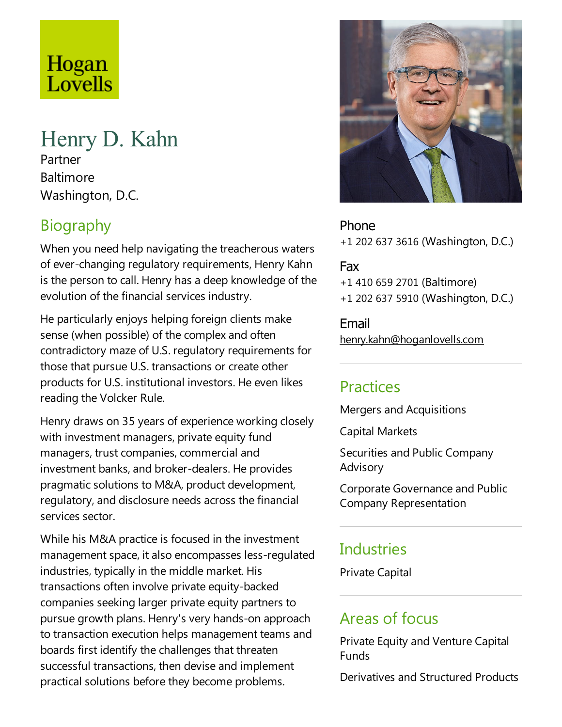# Hogan Lovells

## Henry D. Kahn

Partner **Baltimore** Washington, D.C.

## Biography

When you need help navigating the treacherous waters of ever-changing regulatory requirements, Henry Kahn is the person to call. Henry has a deep knowledge of the evolution of the financial services industry.

He particularly enjoys helping foreign clients make sense (when possible) of the complex and often contradictory maze of U.S. regulatory requirements for those that pursue U.S. transactions or create other products for U.S. institutional investors. He even likes reading the Volcker Rule.

Henry draws on 35 years of experience working closely with investment managers, private equity fund managers, trust companies, commercial and investment banks, and broker-dealers. He provides pragmatic solutions to M&A, product development, regulatory, and disclosure needs across the financial services sector.

While his M&A practice is focused in the investment management space, it also encompasses less-regulated industries, typically in the middle market. His transactions often involve private equity-backed companies seeking larger private equity partners to pursue growth plans. Henry's very hands-on approach to transaction execution helps management teams and boards first identify the challenges that threaten successful transactions, then devise and implement practical solutions before they become problems.



Phone +1 202 637 3616 (Washington, D.C.)

Fax +1 410 659 2701 (Baltimore) +1 202 637 5910 (Washington, D.C.)

Email henry.kahn@hoganlovells.com

#### Practices

Mergers and Acquisitions

Capital Markets

Securities and Public Company Advisory

Corporate Governanceand Public Company Representation

### **Industries**

Private Capital

#### Areas of focus

Private Equity and Venture Capital Funds

Derivatives and Structured Products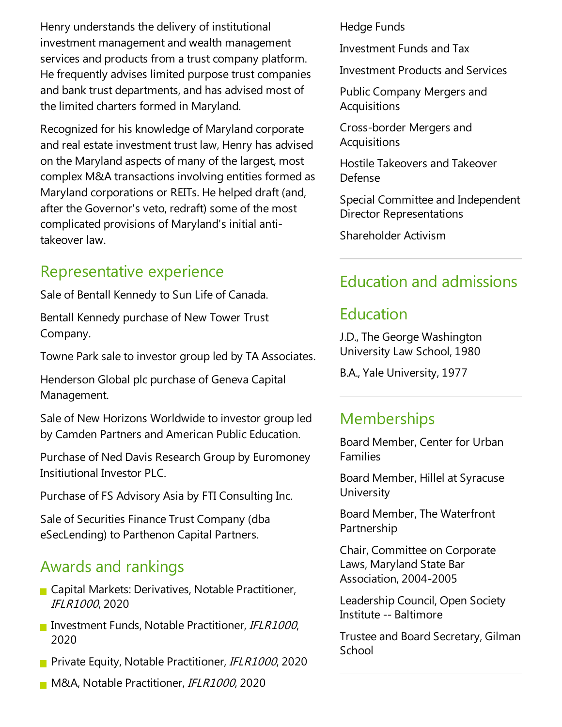Henry understands the delivery of institutional investment management and wealth management services and products from a trust company platform. He frequently advises limited purpose trust companies and bank trust departments, and has advised most of the limited charters formed in Maryland.

Recognized for his knowledge of Maryland corporate and real estate investment trust law, Henry has advised on the Maryland aspects of many of thelargest, most complex M&A transactions involving entities formed as Maryland corporations or REITs. He helped draft (and, after the Governor's veto, redraft) some of the most complicated provisions of Maryland's initial antitakeover law.

#### Representative experience

Sale of Bentall Kennedy to Sun Life of Canada.

Bentall Kennedy purchase of New Tower Trust Company.

Towne Park sale to investor group led by TA Associates.

Henderson Global plc purchase of Geneva Capital Management.

Sale of New Horizons Worldwide to investor group led by Camden Partners and American Public Education.

Purchase of Ned Davis Research Group by Euromoney Insitiutional Investor PLC.

Purchase of FS Advisory Asia by FTI Consulting Inc.

Sale of Securities Finance Trust Company (dba eSecLending) to Parthenon Capital Partners.

#### Awards and rankings

- **Capital Markets: Derivatives, Notable Practitioner,** IFLR1000, 2020
- Investment Funds, Notable Practitioner, IFLR1000, 2020
- **Private Equity, Notable Practitioner, IFLR1000, 2020**
- **M&A, Notable Practitioner, IFLR1000, 2020**

Hedge Funds

Investment Funds and Tax

Investment Products and Services

Public Company Mergers and **Acquisitions** 

Cross-border Mergers and Acquisitions

Hostile Takeovers and Takeover Defense

Special Committee and Independent Director Representations

Shareholder Activism

## Education and admissions

#### Education

J.D.,The George Washington University Law School, 1980

B.A., Yale University, 1977

#### **Memberships**

Board Member, Center for Urban Families

Board Member, Hillel at Syracuse **University** 

Board Member, The Waterfront Partnership

Chair, Committee on Corporate Laws, Maryland State Bar Association, 2004-2005

Leadership Council, Open Society Institute-- Baltimore

Trustee and Board Secretary, Gilman **School**